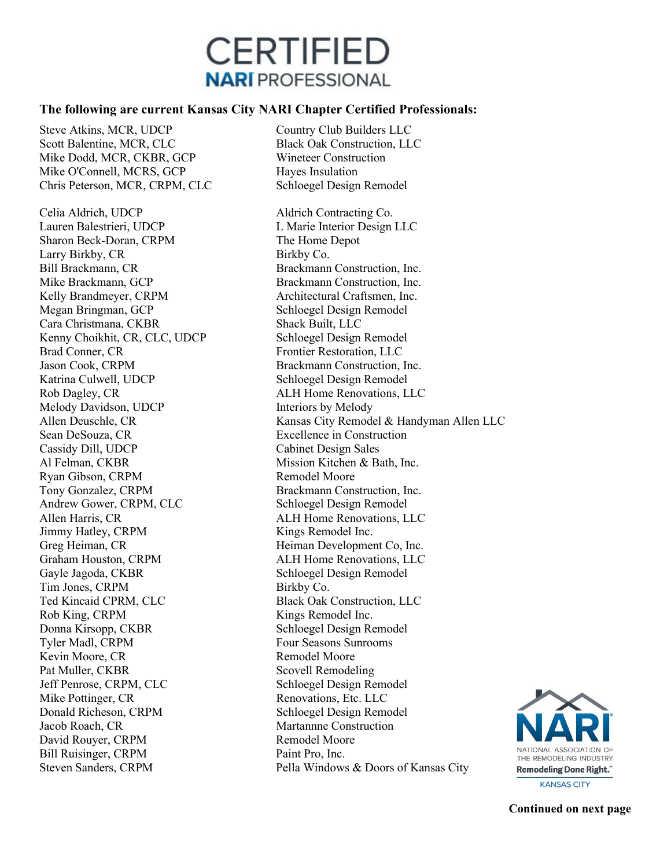## **CERTIFIED NARI PROFESSIONAL**

## **The following are current Kansas City NARI Chapter Certified Professionals:**

Steve Atkins, MCR, UDCP Country Club Builders LLC Scott Balentine, MCR, CLC<br>
Mike Dodd, MCR, CKBR, GCP<br>
Wineteer Construction Mike Dodd, MCR, CKBR, GCP Mike O'Connell, MCRS, GCP Hayes Insulation Chris Peterson, MCR, CRPM, CLC Schloegel Design Remodel

Celia Aldrich, UDCP Aldrich Contracting Co. Lauren Balestrieri, UDCP L Marie Interior Design LLC Sharon Beck-Doran, CRPM The Home Depot Larry Birkby, CR Birkby Co. Bill Brackmann, CR Brackmann Construction, Inc. Mike Brackmann, GCP Brackmann Construction, Inc.<br>
Kelly Brandmeyer, CRPM Architectural Craftsmen, Inc. Megan Bringman, GCP Schloegel Design Remodel Cara Christmana, CKBR Shack Built, LLC Kenny Choikhit, CR, CLC, UDCP Schloegel Design Remodel Brad Conner, CR Frontier Restoration, LLC Jason Cook, CRPM Brackmann Construction, Inc. Katrina Culwell, UDCP Schloegel Design Remodel Rob Dagley, CR ALH Home Renovations, LLC Melody Davidson, UDCP Interiors by Melody Sean DeSouza, CR Excellence in Construction Cassidy Dill, UDCP Cabinet Design Sales Al Felman, CKBR Mission Kitchen & Bath, Inc. Ryan Gibson, CRPM Remodel Moore Tony Gonzalez, CRPM Brackmann Construction, Inc. Andrew Gower, CRPM, CLC Schloegel Design Remodel Allen Harris, CR ALH Home Renovations, LLC Jimmy Hatley, CRPM Kings Remodel Inc. Greg Heiman, CR Heiman Development Co, Inc. Graham Houston, CRPM ALH Home Renovations, LLC Gayle Jagoda, CKBR Schloegel Design Remodel Tim Jones, CRPM Birkby Co. Ted Kincaid CPRM, CLC Black Oak Construction, LLC Rob King, CRPM Kings Remodel Inc. Donna Kirsopp, CKBR Schloegel Design Remodel Tyler Madl, CRPM Four Seasons Sunrooms Kevin Moore, CR Remodel Moore Pat Muller, CKBR Scovell Remodeling Jeff Penrose, CRPM, CLC Schloegel Design Remodel Mike Pottinger, CR Renovations, Etc. LLC Donald Richeson, CRPM Schloegel Design Remodel Jacob Roach, CR Martannne Construction David Rouyer, CRPM Bill Ruisinger, CRPM Paint Pro, Inc.

Architectural Craftsmen, Inc. Allen Deuschle, CR Kansas City Remodel & Handyman Allen LLC Steven Sanders, CRPM Pella Windows & Doors of Kansas City



**KANSAS CITY** 

**Continued on next page**